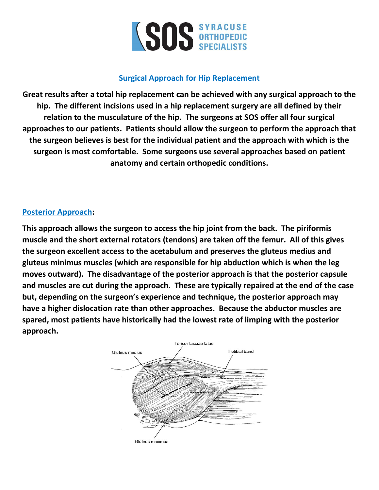

## **Surgical Approach for Hip Replacement**

**Great results after a total hip replacement can be achieved with any surgical approach to the hip. The different incisions used in a hip replacement surgery are all defined by their relation to the musculature of the hip. The surgeons at SOS offer all four surgical approaches to our patients. Patients should allow the surgeon to perform the approach that the surgeon believes is best for the individual patient and the approach with which is the surgeon is most comfortable. Some surgeons use several approaches based on patient anatomy and certain orthopedic conditions.**

### **Posterior Approach:**

**This approach allows the surgeon to access the hip joint from the back. The piriformis muscle and the short external rotators (tendons) are taken off the femur. All of this gives the surgeon excellent access to the acetabulum and preserves the gluteus medius and gluteus minimus muscles (which are responsible for hip abduction which is when the leg moves outward). The disadvantage of the posterior approach is that the posterior capsule and muscles are cut during the approach. These are typically repaired at the end of the case but, depending on the surgeon's experience and technique, the posterior approach may have a higher dislocation rate than other approaches. Because the abductor muscles are spared, most patients have historically had the lowest rate of limping with the posterior approach.**

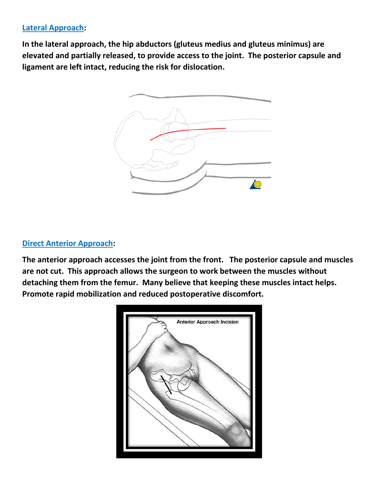# **Lateral Approach:**

**In the lateral approach, the hip abductors (gluteus medius and gluteus minimus) are elevated and partially released, to provide access to the joint. The posterior capsule and ligament are left intact, reducing the risk for dislocation.**



#### **Direct Anterior Approach:**

**The anterior approach accesses the joint from the front. The posterior capsule and muscles are not cut. This approach allows the surgeon to work between the muscles without detaching them from the femur. Many believe that keeping these muscles intact helps. Promote rapid mobilization and reduced postoperative discomfort.**